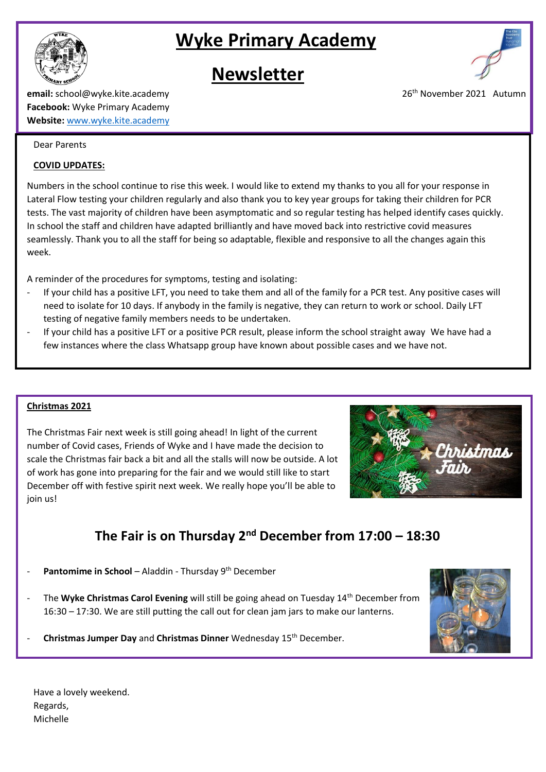

# **Wyke Primary Academy**

# **Newsletter**



### **email:** school@wyke.kite.academy 26<sup>th</sup> November 2021 Autumn **Facebook:** Wyke Primary Academy **Website:** [www.wyke.kite.academy](http://www.wyke.kite.academy/)

#### Dear Parents

#### **COVID UPDATES:**

Numbers in the school continue to rise this week. I would like to extend my thanks to you all for your response in Lateral Flow testing your children regularly and also thank you to key year groups for taking their children for PCR tests. The vast majority of children have been asymptomatic and so regular testing has helped identify cases quickly. In school the staff and children have adapted brilliantly and have moved back into restrictive covid measures seamlessly. Thank you to all the staff for being so adaptable, flexible and responsive to all the changes again this week.

A reminder of the procedures for symptoms, testing and isolating:

- If your child has a positive LFT, you need to take them and all of the family for a PCR test. Any positive cases will need to isolate for 10 days. If anybody in the family is negative, they can return to work or school. Daily LFT testing of negative family members needs to be undertaken.
- If your child has a positive LFT or a positive PCR result, please inform the school straight away. We have had a few instances where the class Whatsapp group have known about possible cases and we have not.

### **Christmas 2021**

The Christmas Fair next week is still going ahead! In light of the current number of Covid cases, Friends of Wyke and I have made the decision to scale the Christmas fair back a bit and all the stalls will now be outside. A lot of work has gone into preparing for the fair and we would still like to start December off with festive spirit next week. We really hope you'll be able to join us!



## **The Fair is on Thursday 2nd December from 17:00 – 18:30**

- Pantomime in School Aladdin Thursday 9<sup>th</sup> December
- The **Wyke Christmas Carol Evening** will still be going ahead on Tuesday 14th December from 16:30 – 17:30. We are still putting the call out for clean jam jars to make our lanterns.



- **Christmas Jumper Day** and **Christmas Dinner** Wednesday 15th December.

Have a lovely weekend. Regards, Michelle